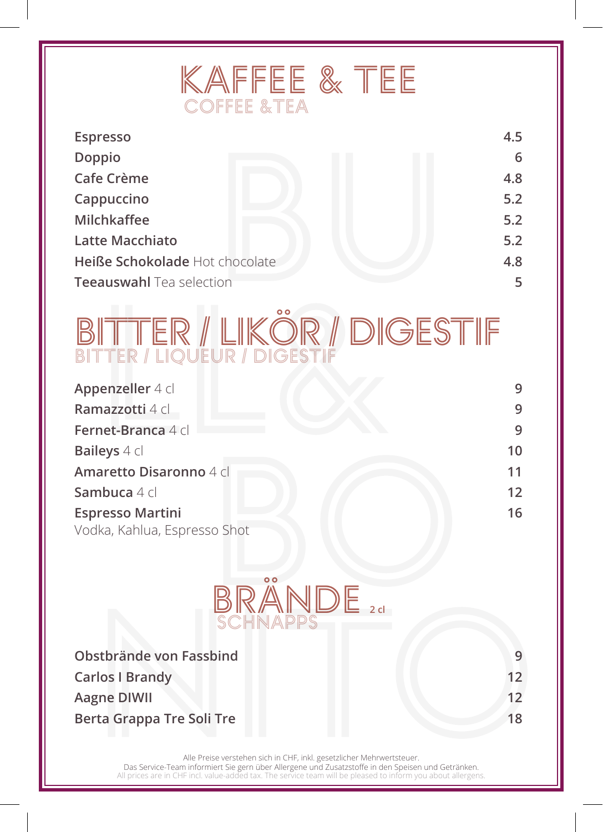

| <b>Espresso</b>                | 4.5 |
|--------------------------------|-----|
| Doppio                         | 6   |
| Cafe Crème                     | 4.8 |
| Cappuccino                     | 5.2 |
| Milchkaffee                    | 5.2 |
| <b>Latte Macchiato</b>         | 5.2 |
| Heiße Schokolade Hot chocolate | 4.8 |
| Teeauswahl Tea selection       | 5   |

## BITTER / LIKÖR / DIGESTIF BITTER / LIQUEUR / DIGESTIF

| Appenzeller 4 cl             | 9  |
|------------------------------|----|
| Ramazzotti 4 cl              | 9  |
| Fernet-Branca 4 cl           | 9  |
| <b>Baileys</b> 4 cl          | 10 |
| Amaretto Disaronno 4 cl      | 11 |
| Sambuca 4 cl                 | 12 |
| <b>Espresso Martini</b>      | 16 |
| Vodka, Kahlua, Espresso Shot |    |



| Obstbrände von Fassbind          |    |
|----------------------------------|----|
| <b>Carlos I Brandy</b>           | 12 |
| <b>Aagne DIWII</b>               | 12 |
| <b>Berta Grappa Tre Soli Tre</b> | 18 |
|                                  |    |

Alle Preise verstehen sich in CHF, inkl. gesetzlicher Mehrwertsteuer. Das Service-Team informiert Sie gern über Allergene und Zusatzstoffe in den Speisen und Getränken.<br>All prices are in CHF incl. value-added tax. The service team will be pleased to inform you about allergen  $\bar{\mathsf{v}}$ ice team will be pleased to inform you about allergens.